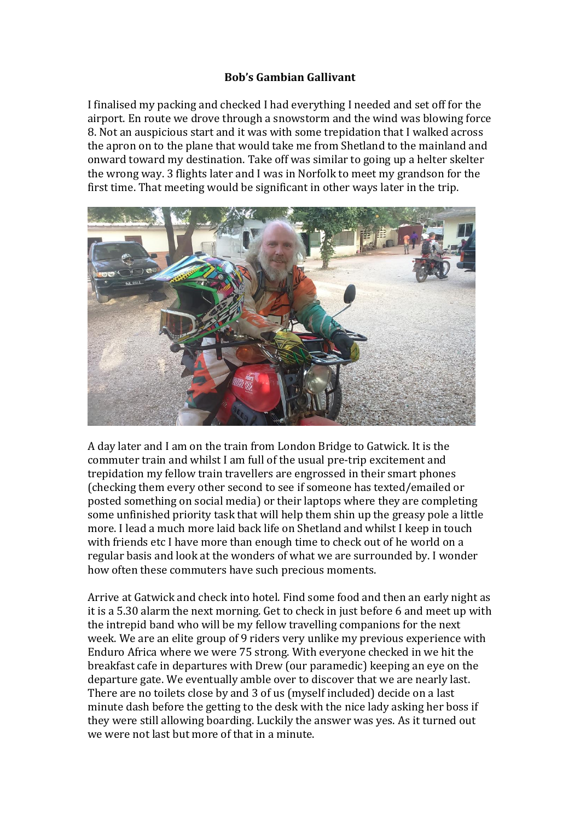## **Bob's Gambian Gallivant**

I finalised my packing and checked I had everything I needed and set off for the airport. En route we drove through a snowstorm and the wind was blowing force 8. Not an auspicious start and it was with some trepidation that I walked across the apron on to the plane that would take me from Shetland to the mainland and onward toward my destination. Take off was similar to going up a helter skelter the wrong way. 3 flights later and I was in Norfolk to meet my grandson for the first time. That meeting would be significant in other ways later in the trip.



A day later and I am on the train from London Bridge to Gatwick. It is the commuter train and whilst I am full of the usual pre-trip excitement and trepidation my fellow train travellers are engrossed in their smart phones (checking them every other second to see if someone has texted/emailed or posted something on social media) or their laptops where they are completing some unfinished priority task that will help them shin up the greasy pole a little more. I lead a much more laid back life on Shetland and whilst I keep in touch with friends etc I have more than enough time to check out of he world on a regular basis and look at the wonders of what we are surrounded by. I wonder how often these commuters have such precious moments.

Arrive at Gatwick and check into hotel. Find some food and then an early night as it is a 5.30 alarm the next morning. Get to check in just before 6 and meet up with the intrepid band who will be my fellow travelling companions for the next week. We are an elite group of 9 riders very unlike my previous experience with Enduro Africa where we were 75 strong. With everyone checked in we hit the breakfast cafe in departures with Drew (our paramedic) keeping an eye on the departure gate. We eventually amble over to discover that we are nearly last. There are no toilets close by and 3 of us (myself included) decide on a last minute dash before the getting to the desk with the nice lady asking her boss if they were still allowing boarding. Luckily the answer was yes. As it turned out we were not last but more of that in a minute.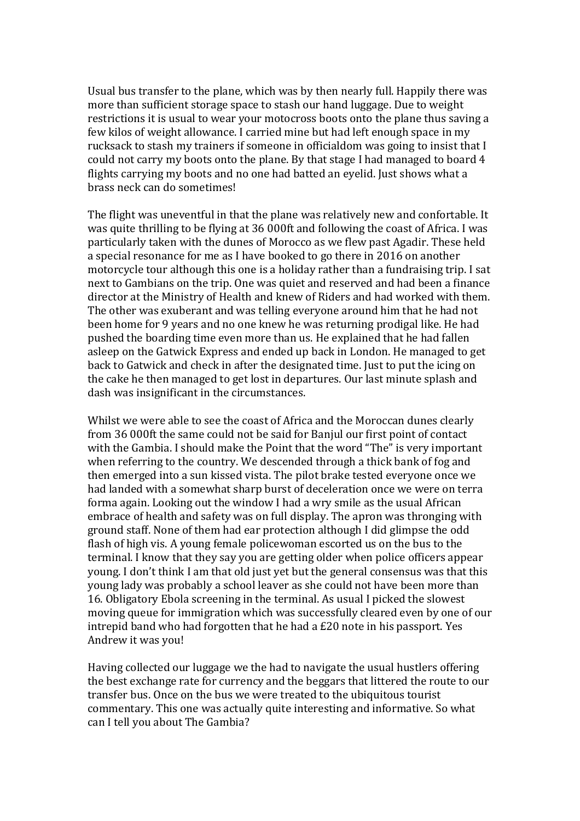Usual bus transfer to the plane, which was by then nearly full. Happily there was more than sufficient storage space to stash our hand luggage. Due to weight restrictions it is usual to wear your motocross boots onto the plane thus saving a few kilos of weight allowance. I carried mine but had left enough space in my rucksack to stash my trainers if someone in officialdom was going to insist that I could not carry my boots onto the plane. By that stage I had managed to board 4 flights carrying my boots and no one had batted an eyelid. Just shows what a brass neck can do sometimes!

The flight was uneventful in that the plane was relatively new and confortable. It was quite thrilling to be flying at 36 000ft and following the coast of Africa. I was particularly taken with the dunes of Morocco as we flew past Agadir. These held a special resonance for me as I have booked to go there in 2016 on another motorcycle tour although this one is a holiday rather than a fundraising trip. I sat next to Gambians on the trip. One was quiet and reserved and had been a finance director at the Ministry of Health and knew of Riders and had worked with them. The other was exuberant and was telling everyone around him that he had not been home for 9 years and no one knew he was returning prodigal like. He had pushed the boarding time even more than us. He explained that he had fallen asleep on the Gatwick Express and ended up back in London. He managed to get back to Gatwick and check in after the designated time. Just to put the icing on the cake he then managed to get lost in departures. Our last minute splash and dash was insignificant in the circumstances.

Whilst we were able to see the coast of Africa and the Moroccan dunes clearly from 36 000ft the same could not be said for Banjul our first point of contact with the Gambia. I should make the Point that the word "The" is very important when referring to the country. We descended through a thick bank of fog and then emerged into a sun kissed vista. The pilot brake tested everyone once we had landed with a somewhat sharp burst of deceleration once we were on terra forma again. Looking out the window I had a wry smile as the usual African embrace of health and safety was on full display. The apron was thronging with ground staff. None of them had ear protection although I did glimpse the odd flash of high vis. A young female policewoman escorted us on the bus to the terminal. I know that they say you are getting older when police officers appear young. I don't think I am that old just yet but the general consensus was that this young lady was probably a school leaver as she could not have been more than 16. Obligatory Ebola screening in the terminal. As usual I picked the slowest moving queue for immigration which was successfully cleared even by one of our intrepid band who had forgotten that he had a £20 note in his passport. Yes Andrew it was you!

Having collected our luggage we the had to navigate the usual hustlers offering the best exchange rate for currency and the beggars that littered the route to our transfer bus. Once on the bus we were treated to the ubiquitous tourist commentary. This one was actually quite interesting and informative. So what can I tell you about The Gambia?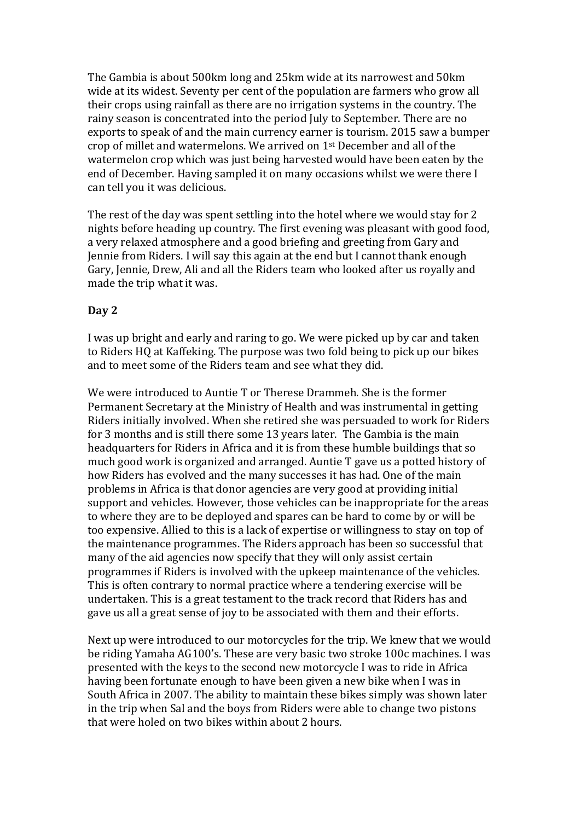The Gambia is about 500km long and 25km wide at its narrowest and 50km wide at its widest. Seventy per cent of the population are farmers who grow all their crops using rainfall as there are no irrigation systems in the country. The rainy season is concentrated into the period July to September. There are no exports to speak of and the main currency earner is tourism. 2015 saw a bumper crop of millet and watermelons. We arrived on 1st December and all of the watermelon crop which was just being harvested would have been eaten by the end of December. Having sampled it on many occasions whilst we were there I can tell you it was delicious.

The rest of the day was spent settling into the hotel where we would stay for 2 nights before heading up country. The first evening was pleasant with good food, a very relaxed atmosphere and a good briefing and greeting from Gary and Jennie from Riders. I will say this again at the end but I cannot thank enough Gary, Jennie, Drew, Ali and all the Riders team who looked after us royally and made the trip what it was.

## **Day 2**

I was up bright and early and raring to go. We were picked up by car and taken to Riders HQ at Kaffeking. The purpose was two fold being to pick up our bikes and to meet some of the Riders team and see what they did.

We were introduced to Auntie T or Therese Drammeh. She is the former Permanent Secretary at the Ministry of Health and was instrumental in getting Riders initially involved. When she retired she was persuaded to work for Riders for 3 months and is still there some 13 years later. The Gambia is the main headquarters for Riders in Africa and it is from these humble buildings that so much good work is organized and arranged. Auntie T gave us a potted history of how Riders has evolved and the many successes it has had. One of the main problems in Africa is that donor agencies are very good at providing initial support and vehicles. However, those vehicles can be inappropriate for the areas to where they are to be deployed and spares can be hard to come by or will be too expensive. Allied to this is a lack of expertise or willingness to stay on top of the maintenance programmes. The Riders approach has been so successful that many of the aid agencies now specify that they will only assist certain programmes if Riders is involved with the upkeep maintenance of the vehicles. This is often contrary to normal practice where a tendering exercise will be undertaken. This is a great testament to the track record that Riders has and gave us all a great sense of joy to be associated with them and their efforts.

Next up were introduced to our motorcycles for the trip. We knew that we would be riding Yamaha AG100's. These are very basic two stroke 100c machines. I was presented with the keys to the second new motorcycle I was to ride in Africa having been fortunate enough to have been given a new bike when I was in South Africa in 2007. The ability to maintain these bikes simply was shown later in the trip when Sal and the boys from Riders were able to change two pistons that were holed on two bikes within about 2 hours.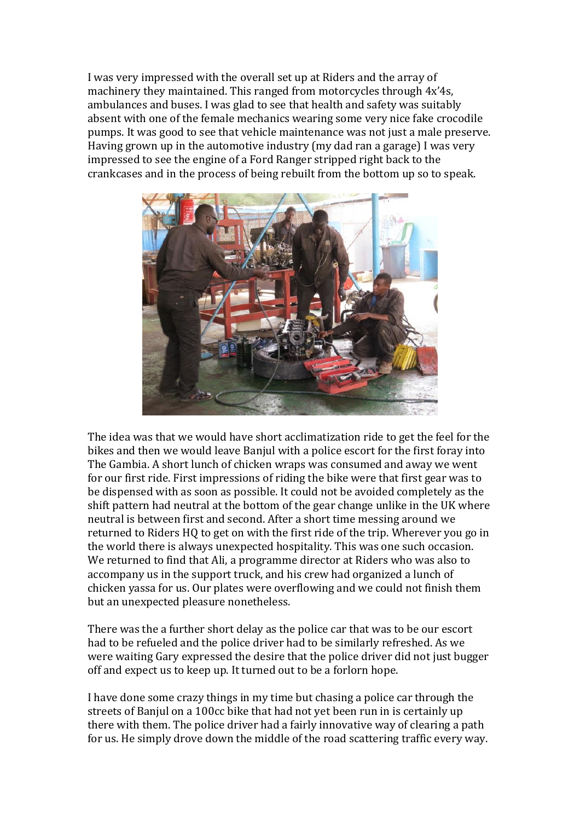I was very impressed with the overall set up at Riders and the array of machinery they maintained. This ranged from motorcycles through 4x'4s, ambulances and buses. I was glad to see that health and safety was suitably absent with one of the female mechanics wearing some very nice fake crocodile pumps. It was good to see that vehicle maintenance was not just a male preserve. Having grown up in the automotive industry (my dad ran a garage) I was very impressed to see the engine of a Ford Ranger stripped right back to the crankcases and in the process of being rebuilt from the bottom up so to speak.



The idea was that we would have short acclimatization ride to get the feel for the bikes and then we would leave Banjul with a police escort for the first foray into The Gambia. A short lunch of chicken wraps was consumed and away we went for our first ride. First impressions of riding the bike were that first gear was to be dispensed with as soon as possible. It could not be avoided completely as the shift pattern had neutral at the bottom of the gear change unlike in the UK where neutral is between first and second. After a short time messing around we returned to Riders HQ to get on with the first ride of the trip. Wherever you go in the world there is always unexpected hospitality. This was one such occasion. We returned to find that Ali, a programme director at Riders who was also to accompany us in the support truck, and his crew had organized a lunch of chicken yassa for us. Our plates were overflowing and we could not finish them but an unexpected pleasure nonetheless.

There was the a further short delay as the police car that was to be our escort had to be refueled and the police driver had to be similarly refreshed. As we were waiting Gary expressed the desire that the police driver did not just bugger off and expect us to keep up. It turned out to be a forlorn hope.

I have done some crazy things in my time but chasing a police car through the streets of Banjul on a 100cc bike that had not yet been run in is certainly up there with them. The police driver had a fairly innovative way of clearing a path for us. He simply drove down the middle of the road scattering traffic every way.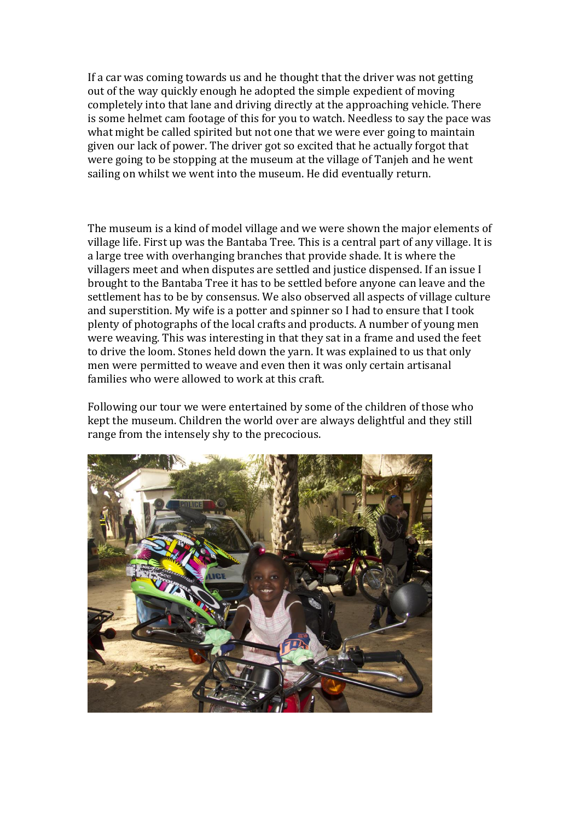If a car was coming towards us and he thought that the driver was not getting out of the way quickly enough he adopted the simple expedient of moving completely into that lane and driving directly at the approaching vehicle. There is some helmet cam footage of this for you to watch. Needless to say the pace was what might be called spirited but not one that we were ever going to maintain given our lack of power. The driver got so excited that he actually forgot that were going to be stopping at the museum at the village of Tanjeh and he went sailing on whilst we went into the museum. He did eventually return.

The museum is a kind of model village and we were shown the major elements of village life. First up was the Bantaba Tree. This is a central part of any village. It is a large tree with overhanging branches that provide shade. It is where the villagers meet and when disputes are settled and justice dispensed. If an issue I brought to the Bantaba Tree it has to be settled before anyone can leave and the settlement has to be by consensus. We also observed all aspects of village culture and superstition. My wife is a potter and spinner so I had to ensure that I took plenty of photographs of the local crafts and products. A number of young men were weaving. This was interesting in that they sat in a frame and used the feet to drive the loom. Stones held down the yarn. It was explained to us that only men were permitted to weave and even then it was only certain artisanal families who were allowed to work at this craft.

Following our tour we were entertained by some of the children of those who kept the museum. Children the world over are always delightful and they still range from the intensely shy to the precocious.

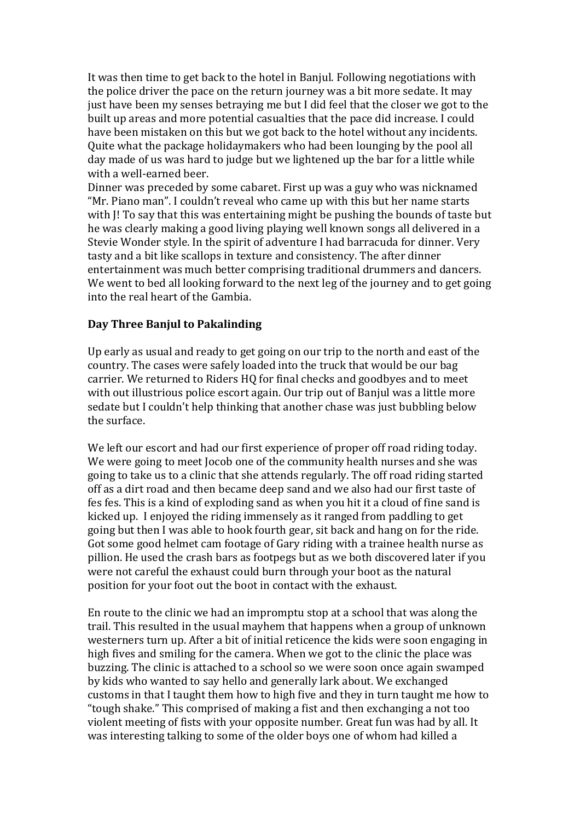It was then time to get back to the hotel in Banjul. Following negotiations with the police driver the pace on the return journey was a bit more sedate. It may just have been my senses betraying me but I did feel that the closer we got to the built up areas and more potential casualties that the pace did increase. I could have been mistaken on this but we got back to the hotel without any incidents. Quite what the package holidaymakers who had been lounging by the pool all day made of us was hard to judge but we lightened up the bar for a little while with a well-earned beer.

Dinner was preceded by some cabaret. First up was a guy who was nicknamed "Mr. Piano man". I couldn't reveal who came up with this but her name starts with J! To say that this was entertaining might be pushing the bounds of taste but he was clearly making a good living playing well known songs all delivered in a Stevie Wonder style. In the spirit of adventure I had barracuda for dinner. Very tasty and a bit like scallops in texture and consistency. The after dinner entertainment was much better comprising traditional drummers and dancers. We went to bed all looking forward to the next leg of the journey and to get going into the real heart of the Gambia.

## **Day Three Banjul to Pakalinding**

Up early as usual and ready to get going on our trip to the north and east of the country. The cases were safely loaded into the truck that would be our bag carrier. We returned to Riders HQ for final checks and goodbyes and to meet with out illustrious police escort again. Our trip out of Banjul was a little more sedate but I couldn't help thinking that another chase was just bubbling below the surface.

We left our escort and had our first experience of proper off road riding today. We were going to meet Jocob one of the community health nurses and she was going to take us to a clinic that she attends regularly. The off road riding started off as a dirt road and then became deep sand and we also had our first taste of fes fes. This is a kind of exploding sand as when you hit it a cloud of fine sand is kicked up. I enjoyed the riding immensely as it ranged from paddling to get going but then I was able to hook fourth gear, sit back and hang on for the ride. Got some good helmet cam footage of Gary riding with a trainee health nurse as pillion. He used the crash bars as footpegs but as we both discovered later if you were not careful the exhaust could burn through your boot as the natural position for your foot out the boot in contact with the exhaust.

En route to the clinic we had an impromptu stop at a school that was along the trail. This resulted in the usual mayhem that happens when a group of unknown westerners turn up. After a bit of initial reticence the kids were soon engaging in high fives and smiling for the camera. When we got to the clinic the place was buzzing. The clinic is attached to a school so we were soon once again swamped by kids who wanted to say hello and generally lark about. We exchanged customs in that I taught them how to high five and they in turn taught me how to "tough shake." This comprised of making a fist and then exchanging a not too violent meeting of fists with your opposite number. Great fun was had by all. It was interesting talking to some of the older boys one of whom had killed a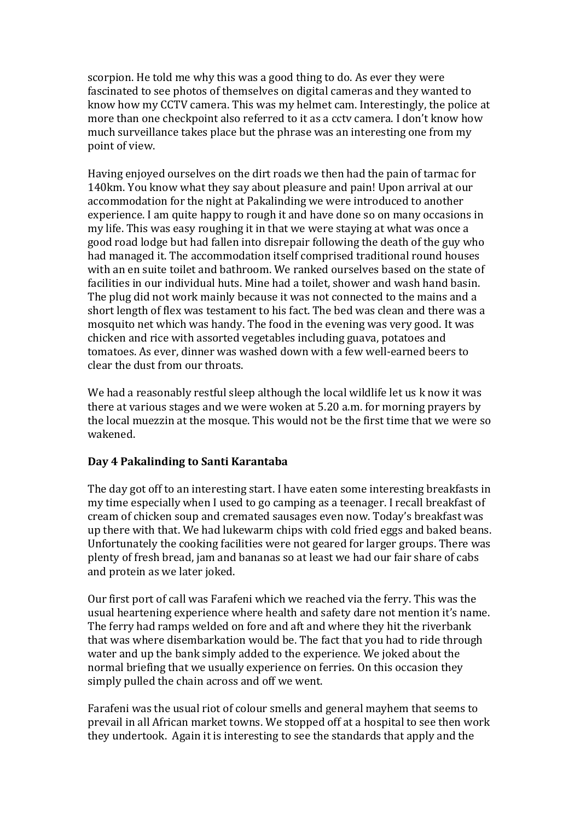scorpion. He told me why this was a good thing to do. As ever they were fascinated to see photos of themselves on digital cameras and they wanted to know how my CCTV camera. This was my helmet cam. Interestingly, the police at more than one checkpoint also referred to it as a cctv camera. I don't know how much surveillance takes place but the phrase was an interesting one from my point of view.

Having enjoyed ourselves on the dirt roads we then had the pain of tarmac for 140km. You know what they say about pleasure and pain! Upon arrival at our accommodation for the night at Pakalinding we were introduced to another experience. I am quite happy to rough it and have done so on many occasions in my life. This was easy roughing it in that we were staying at what was once a good road lodge but had fallen into disrepair following the death of the guy who had managed it. The accommodation itself comprised traditional round houses with an en suite toilet and bathroom. We ranked ourselves based on the state of facilities in our individual huts. Mine had a toilet, shower and wash hand basin. The plug did not work mainly because it was not connected to the mains and a short length of flex was testament to his fact. The bed was clean and there was a mosquito net which was handy. The food in the evening was very good. It was chicken and rice with assorted vegetables including guava, potatoes and tomatoes. As ever, dinner was washed down with a few well-earned beers to clear the dust from our throats.

We had a reasonably restful sleep although the local wildlife let us k now it was there at various stages and we were woken at 5.20 a.m. for morning prayers by the local muezzin at the mosque. This would not be the first time that we were so wakened.

# **Day 4 Pakalinding to Santi Karantaba**

The day got off to an interesting start. I have eaten some interesting breakfasts in my time especially when I used to go camping as a teenager. I recall breakfast of cream of chicken soup and cremated sausages even now. Today's breakfast was up there with that. We had lukewarm chips with cold fried eggs and baked beans. Unfortunately the cooking facilities were not geared for larger groups. There was plenty of fresh bread, jam and bananas so at least we had our fair share of cabs and protein as we later joked.

Our first port of call was Farafeni which we reached via the ferry. This was the usual heartening experience where health and safety dare not mention it's name. The ferry had ramps welded on fore and aft and where they hit the riverbank that was where disembarkation would be. The fact that you had to ride through water and up the bank simply added to the experience. We joked about the normal briefing that we usually experience on ferries. On this occasion they simply pulled the chain across and off we went.

Farafeni was the usual riot of colour smells and general mayhem that seems to prevail in all African market towns. We stopped off at a hospital to see then work they undertook. Again it is interesting to see the standards that apply and the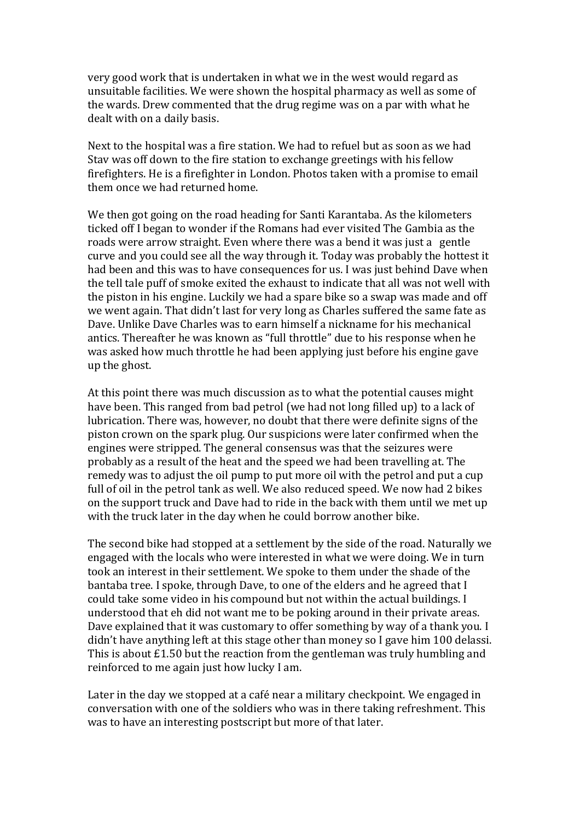very good work that is undertaken in what we in the west would regard as unsuitable facilities. We were shown the hospital pharmacy as well as some of the wards. Drew commented that the drug regime was on a par with what he dealt with on a daily basis.

Next to the hospital was a fire station. We had to refuel but as soon as we had Stav was off down to the fire station to exchange greetings with his fellow firefighters. He is a firefighter in London. Photos taken with a promise to email them once we had returned home.

We then got going on the road heading for Santi Karantaba. As the kilometers ticked off I began to wonder if the Romans had ever visited The Gambia as the roads were arrow straight. Even where there was a bend it was just a gentle curve and you could see all the way through it. Today was probably the hottest it had been and this was to have consequences for us. I was just behind Dave when the tell tale puff of smoke exited the exhaust to indicate that all was not well with the piston in his engine. Luckily we had a spare bike so a swap was made and off we went again. That didn't last for very long as Charles suffered the same fate as Dave. Unlike Dave Charles was to earn himself a nickname for his mechanical antics. Thereafter he was known as "full throttle" due to his response when he was asked how much throttle he had been applying just before his engine gave up the ghost.

At this point there was much discussion as to what the potential causes might have been. This ranged from bad petrol (we had not long filled up) to a lack of lubrication. There was, however, no doubt that there were definite signs of the piston crown on the spark plug. Our suspicions were later confirmed when the engines were stripped. The general consensus was that the seizures were probably as a result of the heat and the speed we had been travelling at. The remedy was to adjust the oil pump to put more oil with the petrol and put a cup full of oil in the petrol tank as well. We also reduced speed. We now had 2 bikes on the support truck and Dave had to ride in the back with them until we met up with the truck later in the day when he could borrow another bike.

The second bike had stopped at a settlement by the side of the road. Naturally we engaged with the locals who were interested in what we were doing. We in turn took an interest in their settlement. We spoke to them under the shade of the bantaba tree. I spoke, through Dave, to one of the elders and he agreed that I could take some video in his compound but not within the actual buildings. I understood that eh did not want me to be poking around in their private areas. Dave explained that it was customary to offer something by way of a thank you. I didn't have anything left at this stage other than money so I gave him 100 delassi. This is about £1.50 but the reaction from the gentleman was truly humbling and reinforced to me again just how lucky I am.

Later in the day we stopped at a café near a military checkpoint. We engaged in conversation with one of the soldiers who was in there taking refreshment. This was to have an interesting postscript but more of that later.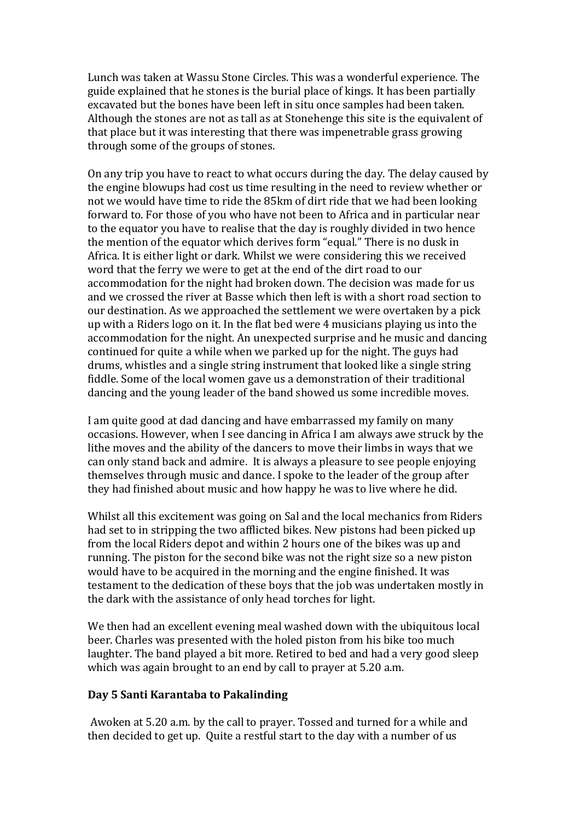Lunch was taken at Wassu Stone Circles. This was a wonderful experience. The guide explained that he stones is the burial place of kings. It has been partially excavated but the bones have been left in situ once samples had been taken. Although the stones are not as tall as at Stonehenge this site is the equivalent of that place but it was interesting that there was impenetrable grass growing through some of the groups of stones.

On any trip you have to react to what occurs during the day. The delay caused by the engine blowups had cost us time resulting in the need to review whether or not we would have time to ride the 85km of dirt ride that we had been looking forward to. For those of you who have not been to Africa and in particular near to the equator you have to realise that the day is roughly divided in two hence the mention of the equator which derives form "equal." There is no dusk in Africa. It is either light or dark. Whilst we were considering this we received word that the ferry we were to get at the end of the dirt road to our accommodation for the night had broken down. The decision was made for us and we crossed the river at Basse which then left is with a short road section to our destination. As we approached the settlement we were overtaken by a pick up with a Riders logo on it. In the flat bed were 4 musicians playing us into the accommodation for the night. An unexpected surprise and he music and dancing continued for quite a while when we parked up for the night. The guys had drums, whistles and a single string instrument that looked like a single string fiddle. Some of the local women gave us a demonstration of their traditional dancing and the young leader of the band showed us some incredible moves.

I am quite good at dad dancing and have embarrassed my family on many occasions. However, when I see dancing in Africa I am always awe struck by the lithe moves and the ability of the dancers to move their limbs in ways that we can only stand back and admire. It is always a pleasure to see people enjoying themselves through music and dance. I spoke to the leader of the group after they had finished about music and how happy he was to live where he did.

Whilst all this excitement was going on Sal and the local mechanics from Riders had set to in stripping the two afflicted bikes. New pistons had been picked up from the local Riders depot and within 2 hours one of the bikes was up and running. The piston for the second bike was not the right size so a new piston would have to be acquired in the morning and the engine finished. It was testament to the dedication of these boys that the job was undertaken mostly in the dark with the assistance of only head torches for light.

We then had an excellent evening meal washed down with the ubiquitous local beer. Charles was presented with the holed piston from his bike too much laughter. The band played a bit more. Retired to bed and had a very good sleep which was again brought to an end by call to prayer at 5.20 a.m.

#### **Day 5 Santi Karantaba to Pakalinding**

Awoken at 5.20 a.m. by the call to prayer. Tossed and turned for a while and then decided to get up. Quite a restful start to the day with a number of us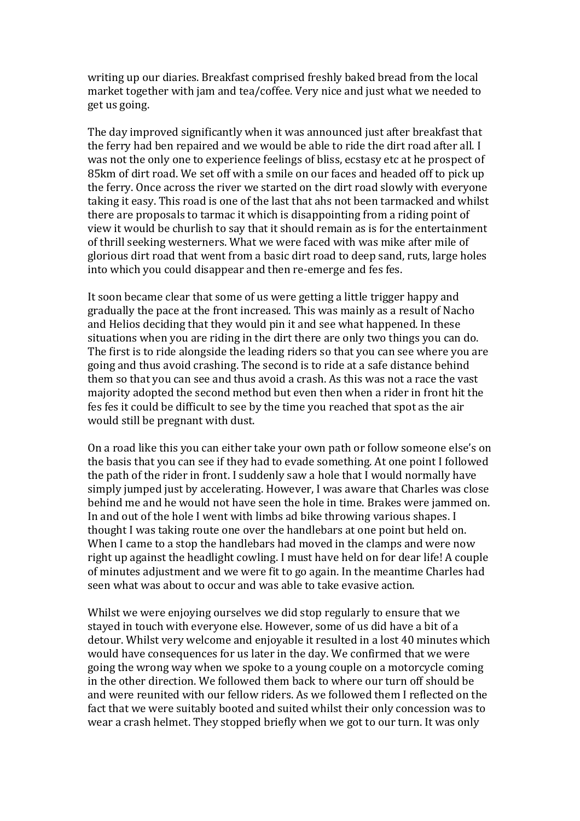writing up our diaries. Breakfast comprised freshly baked bread from the local market together with jam and tea/coffee. Very nice and just what we needed to get us going.

The day improved significantly when it was announced just after breakfast that the ferry had ben repaired and we would be able to ride the dirt road after all. I was not the only one to experience feelings of bliss, ecstasy etc at he prospect of 85km of dirt road. We set off with a smile on our faces and headed off to pick up the ferry. Once across the river we started on the dirt road slowly with everyone taking it easy. This road is one of the last that ahs not been tarmacked and whilst there are proposals to tarmac it which is disappointing from a riding point of view it would be churlish to say that it should remain as is for the entertainment of thrill seeking westerners. What we were faced with was mike after mile of glorious dirt road that went from a basic dirt road to deep sand, ruts, large holes into which you could disappear and then re-emerge and fes fes.

It soon became clear that some of us were getting a little trigger happy and gradually the pace at the front increased. This was mainly as a result of Nacho and Helios deciding that they would pin it and see what happened. In these situations when you are riding in the dirt there are only two things you can do. The first is to ride alongside the leading riders so that you can see where you are going and thus avoid crashing. The second is to ride at a safe distance behind them so that you can see and thus avoid a crash. As this was not a race the vast majority adopted the second method but even then when a rider in front hit the fes fes it could be difficult to see by the time you reached that spot as the air would still be pregnant with dust.

On a road like this you can either take your own path or follow someone else's on the basis that you can see if they had to evade something. At one point I followed the path of the rider in front. I suddenly saw a hole that I would normally have simply jumped just by accelerating. However, I was aware that Charles was close behind me and he would not have seen the hole in time. Brakes were jammed on. In and out of the hole I went with limbs ad bike throwing various shapes. I thought I was taking route one over the handlebars at one point but held on. When I came to a stop the handlebars had moved in the clamps and were now right up against the headlight cowling. I must have held on for dear life! A couple of minutes adjustment and we were fit to go again. In the meantime Charles had seen what was about to occur and was able to take evasive action.

Whilst we were enjoying ourselves we did stop regularly to ensure that we stayed in touch with everyone else. However, some of us did have a bit of a detour. Whilst very welcome and enjoyable it resulted in a lost 40 minutes which would have consequences for us later in the day. We confirmed that we were going the wrong way when we spoke to a young couple on a motorcycle coming in the other direction. We followed them back to where our turn off should be and were reunited with our fellow riders. As we followed them I reflected on the fact that we were suitably booted and suited whilst their only concession was to wear a crash helmet. They stopped briefly when we got to our turn. It was only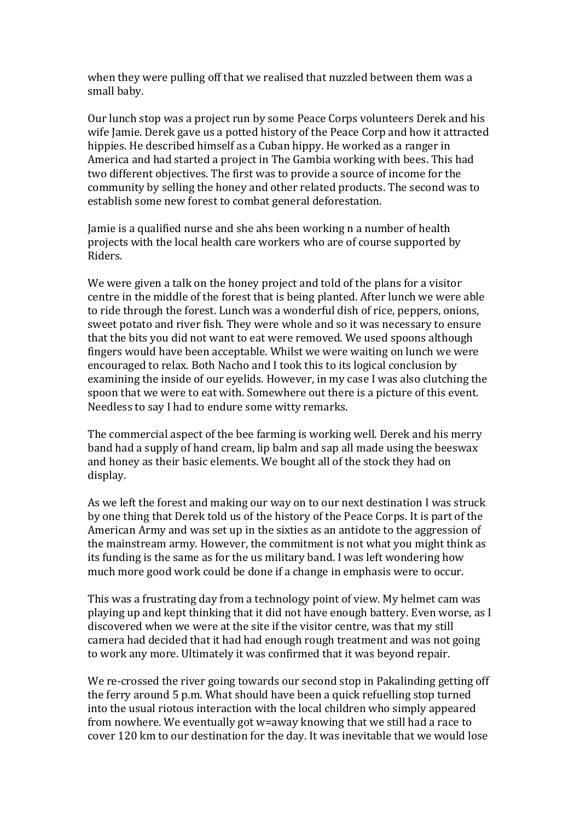when they were pulling off that we realised that nuzzled between them was a small baby.

Our lunch stop was a project run by some Peace Corps volunteers Derek and his wife Jamie. Derek gave us a potted history of the Peace Corp and how it attracted hippies. He described himself as a Cuban hippy. He worked as a ranger in America and had started a project in The Gambia working with bees. This had two different objectives. The first was to provide a source of income for the community by selling the honey and other related products. The second was to establish some new forest to combat general deforestation.

Jamie is a qualified nurse and she ahs been working n a number of health projects with the local health care workers who are of course supported by Riders.

We were given a talk on the honey project and told of the plans for a visitor centre in the middle of the forest that is being planted. After lunch we were able to ride through the forest. Lunch was a wonderful dish of rice, peppers, onions, sweet potato and river fish. They were whole and so it was necessary to ensure that the bits you did not want to eat were removed. We used spoons although fingers would have been acceptable. Whilst we were waiting on lunch we were encouraged to relax. Both Nacho and I took this to its logical conclusion by examining the inside of our eyelids. However, in my case I was also clutching the spoon that we were to eat with. Somewhere out there is a picture of this event. Needless to say I had to endure some witty remarks.

The commercial aspect of the bee farming is working well. Derek and his merry band had a supply of hand cream, lip balm and sap all made using the beeswax and honey as their basic elements. We bought all of the stock they had on display.

As we left the forest and making our way on to our next destination I was struck by one thing that Derek told us of the history of the Peace Corps. It is part of the American Army and was set up in the sixties as an antidote to the aggression of the mainstream army. However, the commitment is not what you might think as its funding is the same as for the us military band. I was left wondering how much more good work could be done if a change in emphasis were to occur.

This was a frustrating day from a technology point of view. My helmet cam was playing up and kept thinking that it did not have enough battery. Even worse, as I discovered when we were at the site if the visitor centre, was that my still camera had decided that it had had enough rough treatment and was not going to work any more. Ultimately it was confirmed that it was beyond repair.

We re-crossed the river going towards our second stop in Pakalinding getting off the ferry around 5 p.m. What should have been a quick refuelling stop turned into the usual riotous interaction with the local children who simply appeared from nowhere. We eventually got w=away knowing that we still had a race to cover 120 km to our destination for the day. It was inevitable that we would lose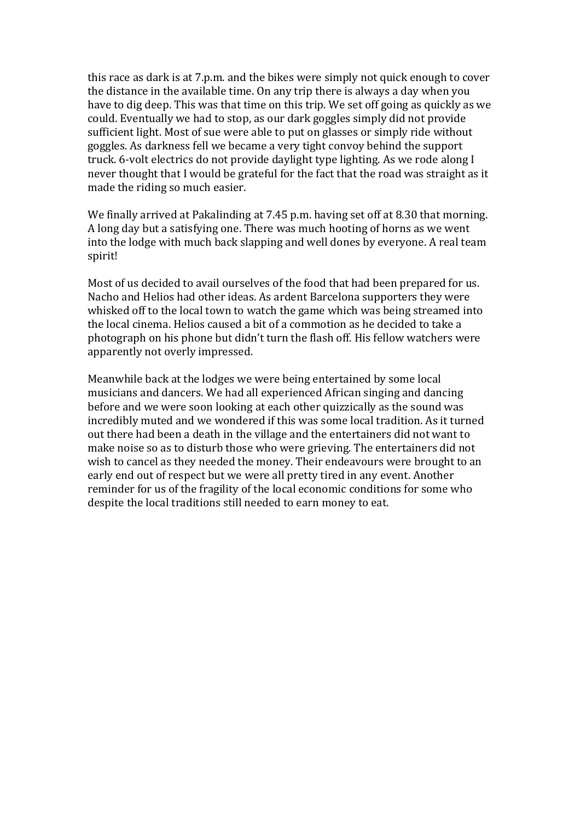this race as dark is at 7.p.m. and the bikes were simply not quick enough to cover the distance in the available time. On any trip there is always a day when you have to dig deep. This was that time on this trip. We set off going as quickly as we could. Eventually we had to stop, as our dark goggles simply did not provide sufficient light. Most of sue were able to put on glasses or simply ride without goggles. As darkness fell we became a very tight convoy behind the support truck. 6-volt electrics do not provide daylight type lighting. As we rode along I never thought that I would be grateful for the fact that the road was straight as it made the riding so much easier.

We finally arrived at Pakalinding at 7.45 p.m. having set off at 8.30 that morning. A long day but a satisfying one. There was much hooting of horns as we went into the lodge with much back slapping and well dones by everyone. A real team spirit!

Most of us decided to avail ourselves of the food that had been prepared for us. Nacho and Helios had other ideas. As ardent Barcelona supporters they were whisked off to the local town to watch the game which was being streamed into the local cinema. Helios caused a bit of a commotion as he decided to take a photograph on his phone but didn't turn the flash off. His fellow watchers were apparently not overly impressed.

Meanwhile back at the lodges we were being entertained by some local musicians and dancers. We had all experienced African singing and dancing before and we were soon looking at each other quizzically as the sound was incredibly muted and we wondered if this was some local tradition. As it turned out there had been a death in the village and the entertainers did not want to make noise so as to disturb those who were grieving. The entertainers did not wish to cancel as they needed the money. Their endeavours were brought to an early end out of respect but we were all pretty tired in any event. Another reminder for us of the fragility of the local economic conditions for some who despite the local traditions still needed to earn money to eat.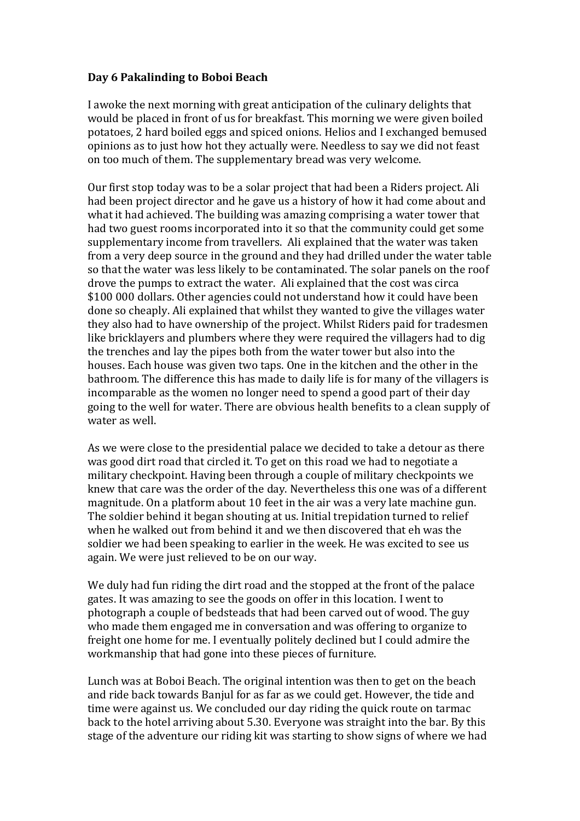## **Day 6 Pakalinding to Boboi Beach**

I awoke the next morning with great anticipation of the culinary delights that would be placed in front of us for breakfast. This morning we were given boiled potatoes, 2 hard boiled eggs and spiced onions. Helios and I exchanged bemused opinions as to just how hot they actually were. Needless to say we did not feast on too much of them. The supplementary bread was very welcome.

Our first stop today was to be a solar project that had been a Riders project. Ali had been project director and he gave us a history of how it had come about and what it had achieved. The building was amazing comprising a water tower that had two guest rooms incorporated into it so that the community could get some supplementary income from travellers. Ali explained that the water was taken from a very deep source in the ground and they had drilled under the water table so that the water was less likely to be contaminated. The solar panels on the roof drove the pumps to extract the water. Ali explained that the cost was circa \$100 000 dollars. Other agencies could not understand how it could have been done so cheaply. Ali explained that whilst they wanted to give the villages water they also had to have ownership of the project. Whilst Riders paid for tradesmen like bricklayers and plumbers where they were required the villagers had to dig the trenches and lay the pipes both from the water tower but also into the houses. Each house was given two taps. One in the kitchen and the other in the bathroom. The difference this has made to daily life is for many of the villagers is incomparable as the women no longer need to spend a good part of their day going to the well for water. There are obvious health benefits to a clean supply of water as well.

As we were close to the presidential palace we decided to take a detour as there was good dirt road that circled it. To get on this road we had to negotiate a military checkpoint. Having been through a couple of military checkpoints we knew that care was the order of the day. Nevertheless this one was of a different magnitude. On a platform about 10 feet in the air was a very late machine gun. The soldier behind it began shouting at us. Initial trepidation turned to relief when he walked out from behind it and we then discovered that eh was the soldier we had been speaking to earlier in the week. He was excited to see us again. We were just relieved to be on our way.

We duly had fun riding the dirt road and the stopped at the front of the palace gates. It was amazing to see the goods on offer in this location. I went to photograph a couple of bedsteads that had been carved out of wood. The guy who made them engaged me in conversation and was offering to organize to freight one home for me. I eventually politely declined but I could admire the workmanship that had gone into these pieces of furniture.

Lunch was at Boboi Beach. The original intention was then to get on the beach and ride back towards Banjul for as far as we could get. However, the tide and time were against us. We concluded our day riding the quick route on tarmac back to the hotel arriving about 5.30. Everyone was straight into the bar. By this stage of the adventure our riding kit was starting to show signs of where we had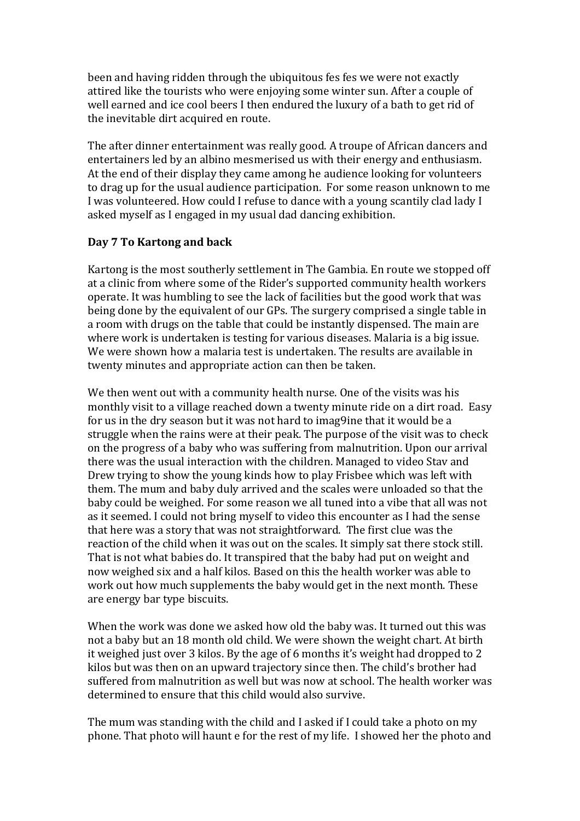been and having ridden through the ubiquitous fes fes we were not exactly attired like the tourists who were enjoying some winter sun. After a couple of well earned and ice cool beers I then endured the luxury of a bath to get rid of the inevitable dirt acquired en route.

The after dinner entertainment was really good. A troupe of African dancers and entertainers led by an albino mesmerised us with their energy and enthusiasm. At the end of their display they came among he audience looking for volunteers to drag up for the usual audience participation. For some reason unknown to me I was volunteered. How could I refuse to dance with a young scantily clad lady I asked myself as I engaged in my usual dad dancing exhibition.

## **Day 7 To Kartong and back**

Kartong is the most southerly settlement in The Gambia. En route we stopped off at a clinic from where some of the Rider's supported community health workers operate. It was humbling to see the lack of facilities but the good work that was being done by the equivalent of our GPs. The surgery comprised a single table in a room with drugs on the table that could be instantly dispensed. The main are where work is undertaken is testing for various diseases. Malaria is a big issue. We were shown how a malaria test is undertaken. The results are available in twenty minutes and appropriate action can then be taken.

We then went out with a community health nurse. One of the visits was his monthly visit to a village reached down a twenty minute ride on a dirt road. Easy for us in the dry season but it was not hard to imag9ine that it would be a struggle when the rains were at their peak. The purpose of the visit was to check on the progress of a baby who was suffering from malnutrition. Upon our arrival there was the usual interaction with the children. Managed to video Stav and Drew trying to show the young kinds how to play Frisbee which was left with them. The mum and baby duly arrived and the scales were unloaded so that the baby could be weighed. For some reason we all tuned into a vibe that all was not as it seemed. I could not bring myself to video this encounter as I had the sense that here was a story that was not straightforward. The first clue was the reaction of the child when it was out on the scales. It simply sat there stock still. That is not what babies do. It transpired that the baby had put on weight and now weighed six and a half kilos. Based on this the health worker was able to work out how much supplements the baby would get in the next month. These are energy bar type biscuits.

When the work was done we asked how old the baby was. It turned out this was not a baby but an 18 month old child. We were shown the weight chart. At birth it weighed just over 3 kilos. By the age of 6 months it's weight had dropped to 2 kilos but was then on an upward trajectory since then. The child's brother had suffered from malnutrition as well but was now at school. The health worker was determined to ensure that this child would also survive.

The mum was standing with the child and I asked if I could take a photo on my phone. That photo will haunt e for the rest of my life. I showed her the photo and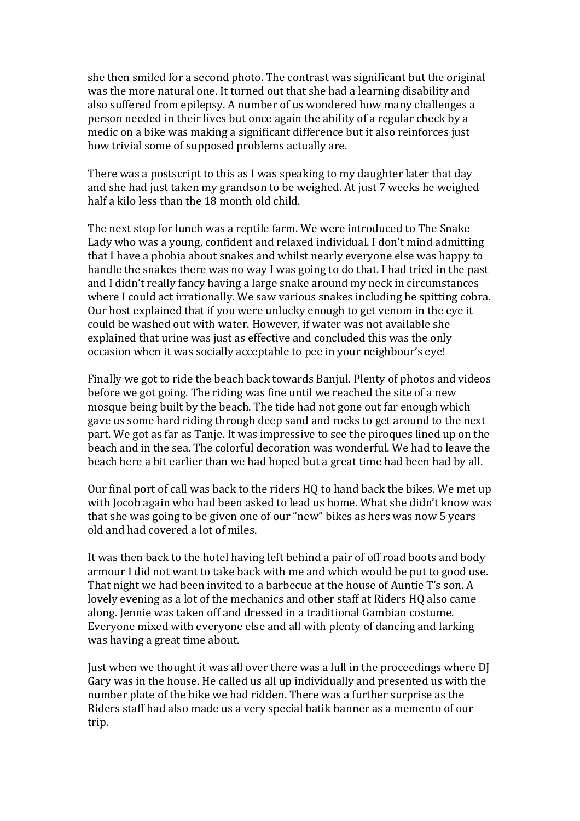she then smiled for a second photo. The contrast was significant but the original was the more natural one. It turned out that she had a learning disability and also suffered from epilepsy. A number of us wondered how many challenges a person needed in their lives but once again the ability of a regular check by a medic on a bike was making a significant difference but it also reinforces just how trivial some of supposed problems actually are.

There was a postscript to this as I was speaking to my daughter later that day and she had just taken my grandson to be weighed. At just 7 weeks he weighed half a kilo less than the 18 month old child.

The next stop for lunch was a reptile farm. We were introduced to The Snake Lady who was a young, confident and relaxed individual. I don't mind admitting that I have a phobia about snakes and whilst nearly everyone else was happy to handle the snakes there was no way I was going to do that. I had tried in the past and I didn't really fancy having a large snake around my neck in circumstances where I could act irrationally. We saw various snakes including he spitting cobra. Our host explained that if you were unlucky enough to get venom in the eye it could be washed out with water. However, if water was not available she explained that urine was just as effective and concluded this was the only occasion when it was socially acceptable to pee in your neighbour's eye!

Finally we got to ride the beach back towards Banjul. Plenty of photos and videos before we got going. The riding was fine until we reached the site of a new mosque being built by the beach. The tide had not gone out far enough which gave us some hard riding through deep sand and rocks to get around to the next part. We got as far as Tanje. It was impressive to see the piroques lined up on the beach and in the sea. The colorful decoration was wonderful. We had to leave the beach here a bit earlier than we had hoped but a great time had been had by all.

Our final port of call was back to the riders HQ to hand back the bikes. We met up with Jocob again who had been asked to lead us home. What she didn't know was that she was going to be given one of our "new" bikes as hers was now 5 years old and had covered a lot of miles.

It was then back to the hotel having left behind a pair of off road boots and body armour I did not want to take back with me and which would be put to good use. That night we had been invited to a barbecue at the house of Auntie T's son. A lovely evening as a lot of the mechanics and other staff at Riders HQ also came along. Jennie was taken off and dressed in a traditional Gambian costume. Everyone mixed with everyone else and all with plenty of dancing and larking was having a great time about.

Just when we thought it was all over there was a lull in the proceedings where DJ Gary was in the house. He called us all up individually and presented us with the number plate of the bike we had ridden. There was a further surprise as the Riders staff had also made us a very special batik banner as a memento of our trip.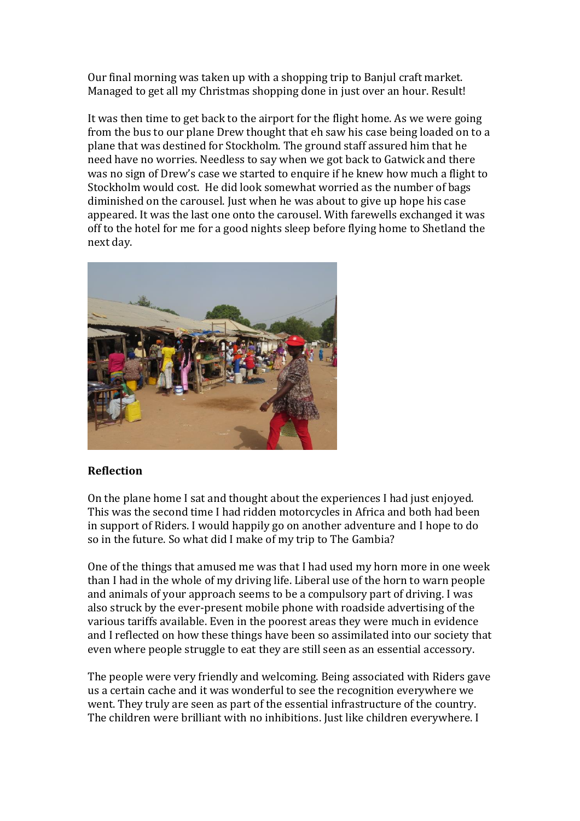Our final morning was taken up with a shopping trip to Banjul craft market. Managed to get all my Christmas shopping done in just over an hour. Result!

It was then time to get back to the airport for the flight home. As we were going from the bus to our plane Drew thought that eh saw his case being loaded on to a plane that was destined for Stockholm. The ground staff assured him that he need have no worries. Needless to say when we got back to Gatwick and there was no sign of Drew's case we started to enquire if he knew how much a flight to Stockholm would cost. He did look somewhat worried as the number of bags diminished on the carousel. Just when he was about to give up hope his case appeared. It was the last one onto the carousel. With farewells exchanged it was off to the hotel for me for a good nights sleep before flying home to Shetland the next day.



# **Reflection**

On the plane home I sat and thought about the experiences I had just enjoyed. This was the second time I had ridden motorcycles in Africa and both had been in support of Riders. I would happily go on another adventure and I hope to do so in the future. So what did I make of my trip to The Gambia?

One of the things that amused me was that I had used my horn more in one week than I had in the whole of my driving life. Liberal use of the horn to warn people and animals of your approach seems to be a compulsory part of driving. I was also struck by the ever-present mobile phone with roadside advertising of the various tariffs available. Even in the poorest areas they were much in evidence and I reflected on how these things have been so assimilated into our society that even where people struggle to eat they are still seen as an essential accessory.

The people were very friendly and welcoming. Being associated with Riders gave us a certain cache and it was wonderful to see the recognition everywhere we went. They truly are seen as part of the essential infrastructure of the country. The children were brilliant with no inhibitions. Just like children everywhere. I